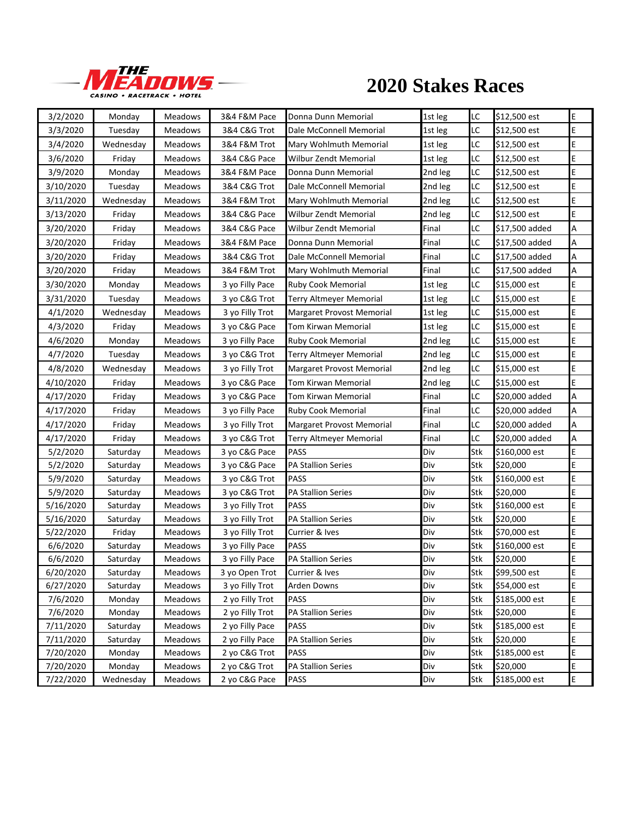

## **2020 Stakes Races**

| 3/2/2020  | Monday    | <b>Meadows</b> | 3&4 F&M Pace    | Donna Dunn Memorial              | 1st leg | LC         | \$12,500 est   | E |
|-----------|-----------|----------------|-----------------|----------------------------------|---------|------------|----------------|---|
| 3/3/2020  | Tuesday   | Meadows        | 3&4 C&G Trot    | Dale McConnell Memorial          | 1st leg | LC         | \$12,500 est   | E |
| 3/4/2020  | Wednesday | <b>Meadows</b> | 3&4 F&M Trot    | Mary Wohlmuth Memorial           | 1st leg | LC         | \$12,500 est   | E |
| 3/6/2020  | Friday    | Meadows        | 3&4 C&G Pace    | <b>Wilbur Zendt Memorial</b>     | 1st leg | LC         | \$12,500 est   | E |
| 3/9/2020  | Monday    | <b>Meadows</b> | 3&4 F&M Pace    | Donna Dunn Memorial              | 2nd leg | LC         | \$12,500 est   | E |
| 3/10/2020 | Tuesday   | Meadows        | 3&4 C&G Trot    | Dale McConnell Memorial          | 2nd leg | LC         | \$12,500 est   | E |
| 3/11/2020 | Wednesday | Meadows        | 3&4 F&M Trot    | Mary Wohlmuth Memorial           | 2nd leg | LC         | \$12,500 est   | E |
| 3/13/2020 | Friday    | Meadows        | 3&4 C&G Pace    | <b>Wilbur Zendt Memorial</b>     | 2nd leg | LC         | \$12,500 est   | E |
| 3/20/2020 | Friday    | <b>Meadows</b> | 3&4 C&G Pace    | <b>Wilbur Zendt Memorial</b>     | Final   | LC         | \$17,500 added | А |
| 3/20/2020 | Friday    | Meadows        | 3&4 F&M Pace    | Donna Dunn Memorial              | Final   | LC         | \$17,500 added | А |
| 3/20/2020 | Friday    | <b>Meadows</b> | 3&4 C&G Trot    | Dale McConnell Memorial          | Final   | LC         | \$17,500 added | А |
| 3/20/2020 | Friday    | Meadows        | 3&4 F&M Trot    | Mary Wohlmuth Memorial           | Final   | LC         | \$17,500 added | А |
| 3/30/2020 | Monday    | <b>Meadows</b> | 3 yo Filly Pace | <b>Ruby Cook Memorial</b>        | 1st leg | LC         | \$15,000 est   | E |
| 3/31/2020 | Tuesday   | <b>Meadows</b> | 3 yo C&G Trot   | <b>Terry Altmeyer Memorial</b>   | 1st leg | LC         | \$15,000 est   | E |
| 4/1/2020  | Wednesday | <b>Meadows</b> | 3 yo Filly Trot | Margaret Provost Memorial        | 1st leg | LC         | \$15,000 est   | E |
| 4/3/2020  | Friday    | <b>Meadows</b> | 3 yo C&G Pace   | Tom Kirwan Memorial              | 1st leg | LC         | \$15,000 est   | E |
| 4/6/2020  | Monday    | <b>Meadows</b> | 3 yo Filly Pace | <b>Ruby Cook Memorial</b>        | 2nd leg | LC         | \$15,000 est   | E |
| 4/7/2020  | Tuesday   | <b>Meadows</b> | 3 yo C&G Trot   | <b>Terry Altmeyer Memorial</b>   | 2nd leg | LC         | \$15,000 est   | E |
| 4/8/2020  | Wednesday | Meadows        | 3 yo Filly Trot | Margaret Provost Memorial        | 2nd leg | LC         | \$15,000 est   | E |
| 4/10/2020 | Friday    | <b>Meadows</b> | 3 yo C&G Pace   | Tom Kirwan Memorial              | 2nd leg | LC         | \$15,000 est   | E |
| 4/17/2020 | Friday    | Meadows        | 3 yo C&G Pace   | Tom Kirwan Memorial              | Final   | LC         | \$20,000 added | А |
| 4/17/2020 | Friday    | Meadows        | 3 yo Filly Pace | Ruby Cook Memorial               | Final   | LC         | \$20,000 added | А |
| 4/17/2020 | Friday    | Meadows        | 3 yo Filly Trot | <b>Margaret Provost Memorial</b> | Final   | LC         | \$20,000 added | А |
| 4/17/2020 | Friday    | Meadows        | 3 yo C&G Trot   | Terry Altmeyer Memorial          | Final   | LC         | \$20,000 added | А |
| 5/2/2020  | Saturday  | <b>Meadows</b> | 3 yo C&G Pace   | <b>PASS</b>                      | Div     | Stk        | \$160,000 est  | E |
| 5/2/2020  | Saturday  | Meadows        | 3 yo C&G Pace   | <b>PA Stallion Series</b>        | Div     | Stk        | \$20,000       | E |
| 5/9/2020  | Saturday  | Meadows        | 3 yo C&G Trot   | <b>PASS</b>                      | Div     | Stk        | \$160,000 est  | E |
| 5/9/2020  | Saturday  | <b>Meadows</b> | 3 yo C&G Trot   | <b>PA Stallion Series</b>        | Div     | Stk        | \$20,000       | E |
| 5/16/2020 | Saturday  | Meadows        | 3 yo Filly Trot | PASS                             | Div     | Stk        | \$160,000 est  | E |
| 5/16/2020 | Saturday  | Meadows        | 3 yo Filly Trot | <b>PA Stallion Series</b>        | Div     | Stk        | \$20,000       | E |
| 5/22/2020 | Friday    | Meadows        | 3 yo Filly Trot | Currier & Ives                   | Div     | Stk        | \$70,000 est   | E |
| 6/6/2020  | Saturday  | <b>Meadows</b> | 3 yo Filly Pace | PASS                             | Div     | Stk        | \$160,000 est  | E |
| 6/6/2020  | Saturday  | Meadows        | 3 yo Filly Pace | <b>PA Stallion Series</b>        | Div     | Stk        | \$20,000       | E |
| 6/20/2020 | Saturday  | Meadows        | 3 yo Open Trot  | Currier & Ives                   | Div     | Stk        | \$99,500 est   | E |
| 6/27/2020 | Saturday  | Meadows        | 3 yo Filly Trot | Arden Downs                      | Div     | Stk        | \$54,000 est   | E |
| 7/6/2020  | Monday    | Meadows        | 2 yo Filly Trot | PASS                             | Div     | Stk        | \$185,000 est  | E |
| 7/6/2020  | Monday    | Meadows        | 2 yo Filly Trot | PA Stallion Series               | Div     | Stk        | \$20,000       | E |
| 7/11/2020 | Saturday  | Meadows        | 2 yo Filly Pace | PASS                             | Div     | Stk        | \$185,000 est  | E |
| 7/11/2020 | Saturday  | Meadows        | 2 yo Filly Pace | PA Stallion Series               | Div     | Stk        | \$20,000       | E |
| 7/20/2020 | Monday    | Meadows        | 2 yo C&G Trot   | PASS                             | Div     | <b>Stk</b> | \$185,000 est  | E |
| 7/20/2020 | Monday    | Meadows        | 2 yo C&G Trot   | <b>PA Stallion Series</b>        | Div     | Stk        | \$20,000       | E |
| 7/22/2020 | Wednesday | Meadows        | 2 yo C&G Pace   | PASS                             | Div     | Stk        | \$185,000 est  | E |